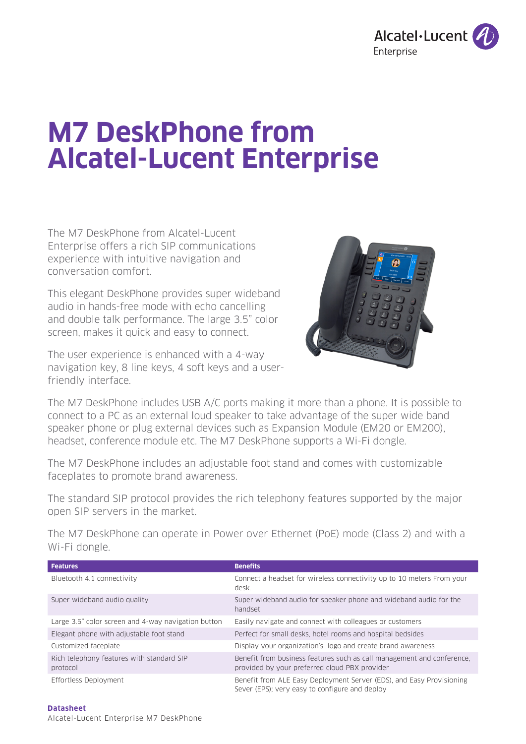

# **M7 DeskPhone from Alcatel-Lucent Enterprise**

The M7 DeskPhone from Alcatel-Lucent Enterprise offers a rich SIP communications experience with intuitive navigation and conversation comfort.

This elegant DeskPhone provides super wideband audio in hands-free mode with echo cancelling and double talk performance. The large 3.5" color screen, makes it quick and easy to connect.

The user experience is enhanced with a 4-way navigation key, 8 line keys, 4 soft keys and a userfriendly interface.



The M7 DeskPhone includes USB A/C ports making it more than a phone. It is possible to connect to a PC as an external loud speaker to take advantage of the super wide band speaker phone or plug external devices such as Expansion Module (EM20 or EM200), headset, conference module etc. The M7 DeskPhone supports a Wi-Fi dongle.

The M7 DeskPhone includes an adjustable foot stand and comes with customizable faceplates to promote brand awareness.

The standard SIP protocol provides the rich telephony features supported by the major open SIP servers in the market.

The M7 DeskPhone can operate in Power over Ethernet (PoE) mode (Class 2) and with a Wi-Fi dongle.

| <b>Features</b>                                       | <b>Benefits</b>                                                                                                         |
|-------------------------------------------------------|-------------------------------------------------------------------------------------------------------------------------|
| Bluetooth 4.1 connectivity                            | Connect a headset for wireless connectivity up to 10 meters From your<br>desk.                                          |
| Super wideband audio quality                          | Super wideband audio for speaker phone and wideband audio for the<br>handset                                            |
| Large 3.5" color screen and 4-way navigation button   | Easily navigate and connect with colleagues or customers                                                                |
| Elegant phone with adjustable foot stand              | Perfect for small desks, hotel rooms and hospital bedsides                                                              |
| Customized faceplate                                  | Display your organization's logo and create brand awareness                                                             |
| Rich telephony features with standard SIP<br>protocol | Benefit from business features such as call management and conference.<br>provided by your preferred cloud PBX provider |
| Effortless Deployment                                 | Benefit from ALE Easy Deployment Server (EDS), and Easy Provisioning<br>Sever (EPS); very easy to configure and deploy  |

**Datasheet**  Alcatel-Lucent Enterprise M7 DeskPhone